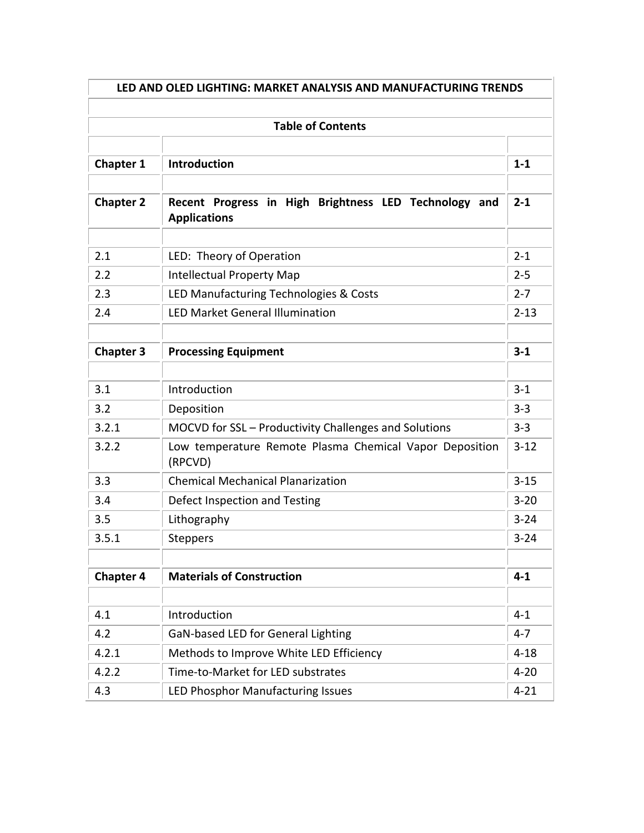| LED AND OLED LIGHTING: MARKET ANALYSIS AND MANUFACTURING TRENDS |                                                                              |          |
|-----------------------------------------------------------------|------------------------------------------------------------------------------|----------|
|                                                                 | <b>Table of Contents</b>                                                     |          |
|                                                                 |                                                                              |          |
| <b>Chapter 1</b>                                                | Introduction                                                                 | $1 - 1$  |
| <b>Chapter 2</b>                                                | Recent Progress in High Brightness LED Technology and<br><b>Applications</b> | $2 - 1$  |
| 2.1                                                             | LED: Theory of Operation                                                     | $2 - 1$  |
| 2.2                                                             | <b>Intellectual Property Map</b>                                             | $2 - 5$  |
| 2.3                                                             | LED Manufacturing Technologies & Costs                                       | $2 - 7$  |
| 2.4                                                             | <b>LED Market General Illumination</b>                                       | $2 - 13$ |
|                                                                 |                                                                              |          |
| <b>Chapter 3</b>                                                | <b>Processing Equipment</b>                                                  | $3 - 1$  |
| 3.1                                                             | Introduction                                                                 | $3 - 1$  |
| 3.2                                                             | Deposition                                                                   | $3 - 3$  |
| 3.2.1                                                           | MOCVD for SSL - Productivity Challenges and Solutions                        | $3 - 3$  |
| 3.2.2                                                           | Low temperature Remote Plasma Chemical Vapor Deposition<br>(RPCVD)           | $3 - 12$ |
| 3.3                                                             | <b>Chemical Mechanical Planarization</b>                                     | $3 - 15$ |
| 3.4                                                             | Defect Inspection and Testing                                                | $3 - 20$ |
| 3.5                                                             | Lithography                                                                  | $3 - 24$ |
| 3.5.1                                                           | <b>Steppers</b>                                                              | $3 - 24$ |
|                                                                 |                                                                              |          |
| <b>Chapter 4</b>                                                | <b>Materials of Construction</b>                                             | $4 - 1$  |
|                                                                 |                                                                              |          |
| 4.1                                                             | Introduction                                                                 | $4 - 1$  |
| 4.2                                                             | GaN-based LED for General Lighting                                           | $4 - 7$  |
| 4.2.1                                                           | Methods to Improve White LED Efficiency                                      | $4 - 18$ |
| 4.2.2                                                           | Time-to-Market for LED substrates                                            | $4 - 20$ |
| 4.3                                                             | LED Phosphor Manufacturing Issues                                            | $4 - 21$ |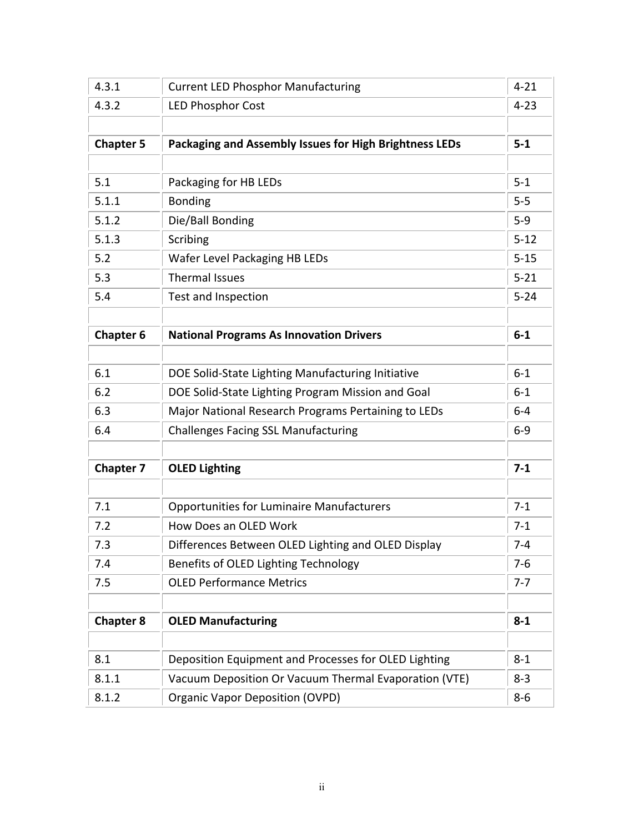| 4.3.1            | <b>Current LED Phosphor Manufacturing</b>              | $4 - 21$ |
|------------------|--------------------------------------------------------|----------|
| 4.3.2            | <b>LED Phosphor Cost</b>                               | $4 - 23$ |
|                  |                                                        |          |
| <b>Chapter 5</b> | Packaging and Assembly Issues for High Brightness LEDs | $5-1$    |
|                  |                                                        |          |
| 5.1              | Packaging for HB LEDs                                  | $5 - 1$  |
| 5.1.1            | <b>Bonding</b>                                         | $5-5$    |
| 5.1.2            | Die/Ball Bonding                                       | $5-9$    |
| 5.1.3            | Scribing                                               | $5 - 12$ |
| 5.2              | Wafer Level Packaging HB LEDs                          | $5 - 15$ |
| 5.3              | <b>Thermal Issues</b>                                  | $5 - 21$ |
| 5.4              | Test and Inspection                                    | $5 - 24$ |
|                  |                                                        |          |
| <b>Chapter 6</b> | <b>National Programs As Innovation Drivers</b>         | $6-1$    |
|                  |                                                        |          |
| 6.1              | DOE Solid-State Lighting Manufacturing Initiative      | $6 - 1$  |
| 6.2              | DOE Solid-State Lighting Program Mission and Goal      | $6 - 1$  |
| 6.3              | Major National Research Programs Pertaining to LEDs    | $6-4$    |
| 6.4              | <b>Challenges Facing SSL Manufacturing</b>             | $6-9$    |
|                  |                                                        |          |
| <b>Chapter 7</b> | <b>OLED Lighting</b>                                   | $7 - 1$  |
|                  |                                                        |          |
| 7.1              | <b>Opportunities for Luminaire Manufacturers</b>       | $7 - 1$  |
| 7.2              | How Does an OLED Work                                  | $7 - 1$  |
| 7.3              | Differences Between OLED Lighting and OLED Display     | $7 - 4$  |
| 7.4              | Benefits of OLED Lighting Technology                   | $7-6$    |
| 7.5              | <b>OLED Performance Metrics</b>                        | $7 - 7$  |
|                  |                                                        |          |
| <b>Chapter 8</b> | <b>OLED Manufacturing</b>                              | $8 - 1$  |
|                  |                                                        |          |
| 8.1              | Deposition Equipment and Processes for OLED Lighting   | $8 - 1$  |
| 8.1.1            | Vacuum Deposition Or Vacuum Thermal Evaporation (VTE)  | $8 - 3$  |
| 8.1.2            | <b>Organic Vapor Deposition (OVPD)</b>                 | $8-6$    |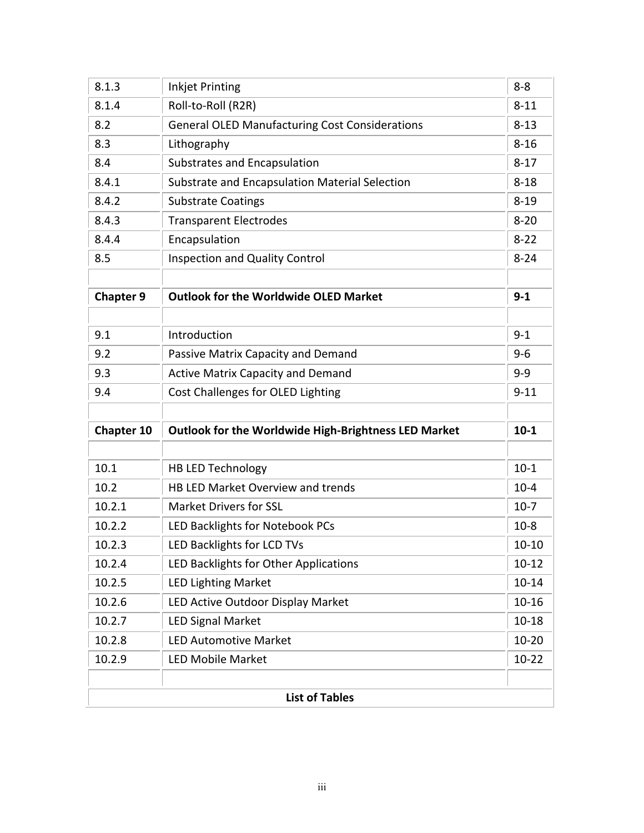| 8.1.3            | <b>Inkjet Printing</b>                                      | $8 - 8$   |
|------------------|-------------------------------------------------------------|-----------|
| 8.1.4            | Roll-to-Roll (R2R)                                          | $8 - 11$  |
| 8.2              | <b>General OLED Manufacturing Cost Considerations</b>       | $8 - 13$  |
| 8.3              | Lithography                                                 | $8 - 16$  |
| 8.4              | Substrates and Encapsulation                                | $8 - 17$  |
| 8.4.1            | Substrate and Encapsulation Material Selection              | $8 - 18$  |
| 8.4.2            | <b>Substrate Coatings</b>                                   | $8 - 19$  |
| 8.4.3            | <b>Transparent Electrodes</b>                               | $8 - 20$  |
| 8.4.4            | Encapsulation                                               | $8 - 22$  |
| 8.5              | <b>Inspection and Quality Control</b>                       | $8 - 24$  |
|                  |                                                             |           |
| <b>Chapter 9</b> | <b>Outlook for the Worldwide OLED Market</b>                | $9 - 1$   |
|                  |                                                             |           |
| 9.1              | Introduction                                                | $9 - 1$   |
| 9.2              | Passive Matrix Capacity and Demand                          | $9 - 6$   |
| 9.3              | <b>Active Matrix Capacity and Demand</b>                    | $9 - 9$   |
| 9.4              | Cost Challenges for OLED Lighting                           | $9 - 11$  |
|                  |                                                             |           |
| Chapter 10       | <b>Outlook for the Worldwide High-Brightness LED Market</b> | $10 - 1$  |
|                  |                                                             |           |
| 10.1             | <b>HB LED Technology</b>                                    | $10-1$    |
| 10.2             | HB LED Market Overview and trends                           | $10 - 4$  |
| 10.2.1           | <b>Market Drivers for SSL</b>                               | $10-7$    |
| 10.2.2           | LED Backlights for Notebook PCs                             | $10-8$    |
| 10.2.3           | LED Backlights for LCD TVs                                  | $10 - 10$ |
| 10.2.4           | LED Backlights for Other Applications                       | $10 - 12$ |
|                  | <b>LED Lighting Market</b>                                  | $10 - 14$ |
| 10.2.5           |                                                             |           |
| 10.2.6           | LED Active Outdoor Display Market                           | $10 - 16$ |
| 10.2.7           | <b>LED Signal Market</b>                                    | $10 - 18$ |
| 10.2.8           | <b>LED Automotive Market</b>                                | $10 - 20$ |
| 10.2.9           | <b>LED Mobile Market</b>                                    | $10 - 22$ |
|                  |                                                             |           |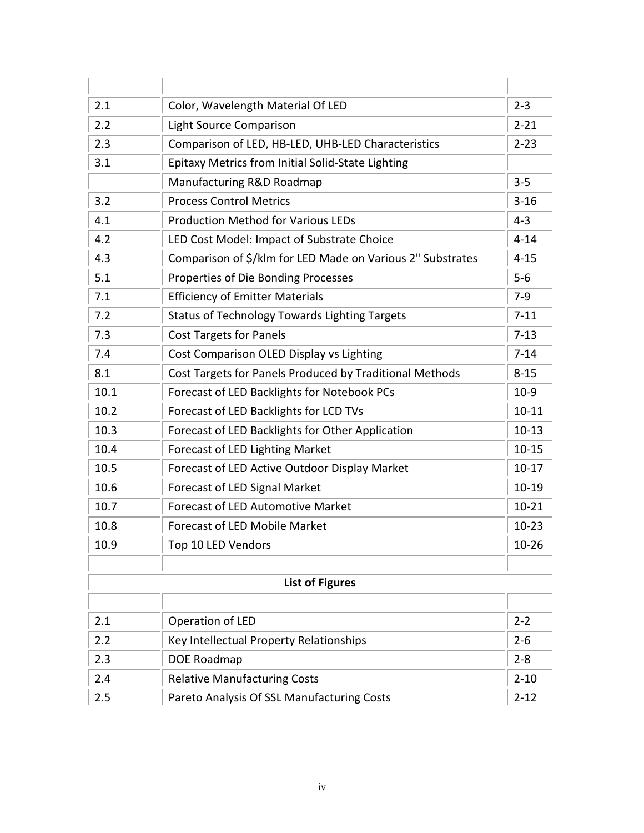| 2.1  | Color, Wavelength Material Of LED                          | $2 - 3$   |
|------|------------------------------------------------------------|-----------|
| 2.2  | <b>Light Source Comparison</b>                             | $2 - 21$  |
| 2.3  | Comparison of LED, HB-LED, UHB-LED Characteristics         | $2 - 23$  |
| 3.1  | <b>Epitaxy Metrics from Initial Solid-State Lighting</b>   |           |
|      | Manufacturing R&D Roadmap                                  | $3 - 5$   |
| 3.2  | <b>Process Control Metrics</b>                             | $3 - 16$  |
| 4.1  | <b>Production Method for Various LEDs</b>                  | $4 - 3$   |
| 4.2  | LED Cost Model: Impact of Substrate Choice                 | $4 - 14$  |
| 4.3  | Comparison of \$/klm for LED Made on Various 2" Substrates | $4 - 15$  |
| 5.1  | Properties of Die Bonding Processes                        | $5-6$     |
| 7.1  | <b>Efficiency of Emitter Materials</b>                     | $7-9$     |
| 7.2  | <b>Status of Technology Towards Lighting Targets</b>       | $7 - 11$  |
| 7.3  | <b>Cost Targets for Panels</b>                             | $7 - 13$  |
| 7.4  | Cost Comparison OLED Display vs Lighting                   | $7 - 14$  |
| 8.1  | Cost Targets for Panels Produced by Traditional Methods    | $8 - 15$  |
| 10.1 | Forecast of LED Backlights for Notebook PCs                | $10-9$    |
| 10.2 | Forecast of LED Backlights for LCD TVs                     | $10 - 11$ |
| 10.3 | Forecast of LED Backlights for Other Application           | $10-13$   |
| 10.4 | Forecast of LED Lighting Market                            | $10 - 15$ |
| 10.5 | Forecast of LED Active Outdoor Display Market              | $10-17$   |
| 10.6 | Forecast of LED Signal Market                              | $10-19$   |
| 10.7 | <b>Forecast of LED Automotive Market</b>                   | $10 - 21$ |
| 10.8 | <b>Forecast of LED Mobile Market</b>                       | $10 - 23$ |
| 10.9 | Top 10 LED Vendors                                         | $10 - 26$ |
|      |                                                            |           |
|      | <b>List of Figures</b>                                     |           |
|      |                                                            |           |
| 2.1  | Operation of LED                                           | $2 - 2$   |
| 2.2  | Key Intellectual Property Relationships                    | $2 - 6$   |
| 2.3  | DOE Roadmap                                                | $2 - 8$   |
| 2.4  | <b>Relative Manufacturing Costs</b>                        | $2 - 10$  |
| 2.5  | Pareto Analysis Of SSL Manufacturing Costs                 | $2 - 12$  |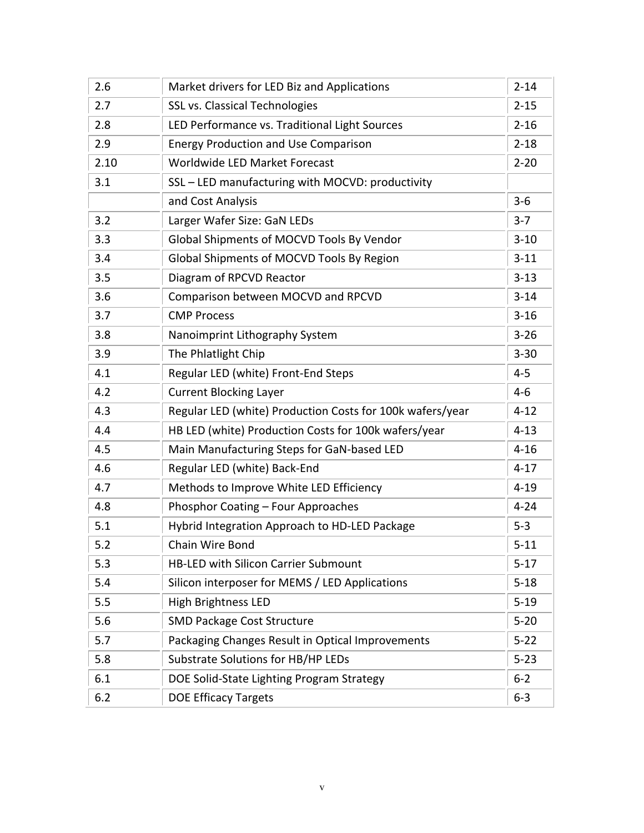| 2.6  | Market drivers for LED Biz and Applications               | $2 - 14$ |
|------|-----------------------------------------------------------|----------|
| 2.7  | <b>SSL vs. Classical Technologies</b>                     | $2 - 15$ |
| 2.8  | LED Performance vs. Traditional Light Sources             | $2 - 16$ |
| 2.9  | <b>Energy Production and Use Comparison</b>               | $2 - 18$ |
| 2.10 | Worldwide LED Market Forecast                             | $2 - 20$ |
| 3.1  | SSL - LED manufacturing with MOCVD: productivity          |          |
|      | and Cost Analysis                                         | $3 - 6$  |
| 3.2  | Larger Wafer Size: GaN LEDs                               | $3 - 7$  |
| 3.3  | Global Shipments of MOCVD Tools By Vendor                 | $3 - 10$ |
| 3.4  | Global Shipments of MOCVD Tools By Region                 | $3 - 11$ |
| 3.5  | Diagram of RPCVD Reactor                                  | $3 - 13$ |
| 3.6  | Comparison between MOCVD and RPCVD                        | $3 - 14$ |
| 3.7  | <b>CMP Process</b>                                        | $3 - 16$ |
| 3.8  | Nanoimprint Lithography System                            | $3 - 26$ |
| 3.9  | The Phlatlight Chip                                       | $3 - 30$ |
| 4.1  | Regular LED (white) Front-End Steps                       | $4 - 5$  |
| 4.2  | <b>Current Blocking Layer</b>                             | $4 - 6$  |
| 4.3  | Regular LED (white) Production Costs for 100k wafers/year | $4 - 12$ |
| 4.4  | HB LED (white) Production Costs for 100k wafers/year      | $4 - 13$ |
| 4.5  | Main Manufacturing Steps for GaN-based LED                | $4 - 16$ |
| 4.6  | Regular LED (white) Back-End                              | $4 - 17$ |
| 4.7  | Methods to Improve White LED Efficiency                   | $4 - 19$ |
| 4.8  | Phosphor Coating - Four Approaches                        | $4 - 24$ |
| 5.1  | Hybrid Integration Approach to HD-LED Package             | $5 - 3$  |
| 5.2  | <b>Chain Wire Bond</b>                                    | $5 - 11$ |
| 5.3  | <b>HB-LED with Silicon Carrier Submount</b>               | $5 - 17$ |
| 5.4  | Silicon interposer for MEMS / LED Applications            | $5 - 18$ |
| 5.5  | <b>High Brightness LED</b>                                | $5 - 19$ |
| 5.6  | <b>SMD Package Cost Structure</b>                         | $5 - 20$ |
| 5.7  | Packaging Changes Result in Optical Improvements          | $5 - 22$ |
| 5.8  | Substrate Solutions for HB/HP LEDs                        | $5 - 23$ |
| 6.1  | DOE Solid-State Lighting Program Strategy                 | $6 - 2$  |
| 6.2  | <b>DOE Efficacy Targets</b>                               | $6 - 3$  |